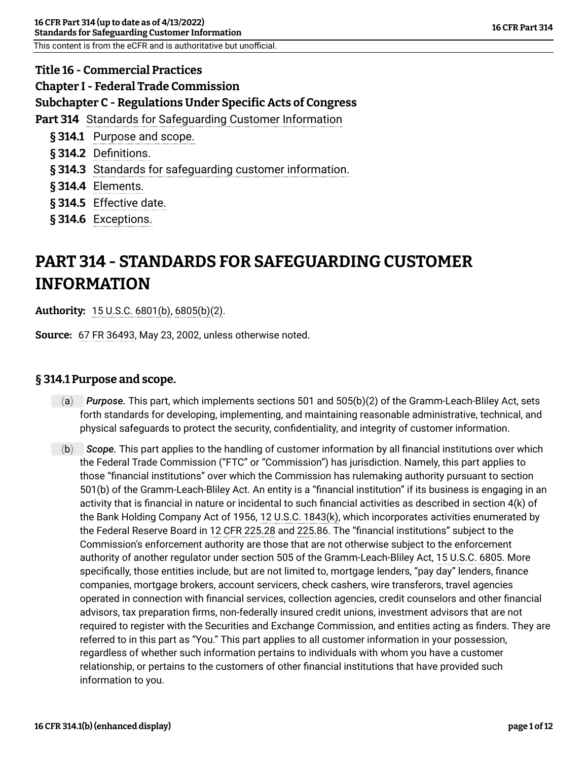This content is from the eCFR and is authoritative but unofficial.

**Title 16 - Commercial Practices**

# **Chapter I - Federal Trade Commission**

# **Subchapter C - Regulations Under Specific Acts of Congress**

- **Part 314** [Standards for Safeguarding Customer Information](#page-0-0)
	- **§ 314.1** [Purpose and scope.](#page-0-1)
	- **§ 314.2** [Definitions.](#page-0-2)
	- **§ 314.3** [Standards for safeguarding customer information.](#page-7-0)
	- **§ 314.4** [Elements.](#page-8-0)
	- **§ 314.5** [Effective date.](#page-11-0)
	- **§ 314.6** [Exceptions.](#page-11-1)

# <span id="page-0-0"></span>**PART 314 - STANDARDS FOR SAFEGUARDING CUSTOMER INFORMATION**

**Authority:** [15 U.S.C. 6801\(b\),](https://www.govinfo.gov/link/uscode/15/6801) [6805\(b\)\(2\)](https://www.govinfo.gov/link/uscode/15/6805).

<span id="page-0-1"></span>**Source:** [67 FR 36493](https://www.federalregister.gov/citation/67-FR-36493), May 23, 2002, unless otherwise noted.

# **§ 314.1 Purpose and scope.**

- (a) *Purpose.* This part, which implements sections 501 and 505(b)(2) of the Gramm-Leach-Bliley Act, sets forth standards for developing, implementing, and maintaining reasonable administrative, technical, and physical safeguards to protect the security, confidentiality, and integrity of customer information.
- <span id="page-0-2"></span>(b) *Scope.* This part applies to the handling of customer information by all financial institutions over which the Federal Trade Commission ("FTC" or "Commission") has jurisdiction. Namely, this part applies to those "financial institutions" over which the Commission has rulemaking authority pursuant to section 501(b) of the Gramm-Leach-Bliley Act. An entity is a "financial institution" if its business is engaging in an activity that is financial in nature or incidental to such financial activities as described in section 4(k) of the Bank Holding Company Act of 1956, [12 U.S.C. 1843\(k\),](https://www.govinfo.gov/link/uscode/12/1843) which incorporates activities enumerated by the Federal Reserve Board in [12 CFR 225.28](https://www.ecfr.gov/current/title-12/section-225.28/) and [225.86.](https://www.ecfr.gov/current/title-12/section-225.86/) The "financial institutions" subject to the Commission's enforcement authority are those that are not otherwise subject to the enforcement authority of another regulator under section 505 of the Gramm-Leach-Bliley Act, [15 U.S.C. 6805](https://www.govinfo.gov/link/uscode/15/6805). More specifically, those entities include, but are not limited to, mortgage lenders, "pay day" lenders, finance companies, mortgage brokers, account servicers, check cashers, wire transferors, travel agencies operated in connection with financial services, collection agencies, credit counselors and other financial advisors, tax preparation firms, non-federally insured credit unions, investment advisors that are not required to register with the Securities and Exchange Commission, and entities acting as finders. They are referred to in this part as "You." This part applies to all customer information in your possession, regardless of whether such information pertains to individuals with whom you have a customer relationship, or pertains to the customers of other financial institutions that have provided such information to you.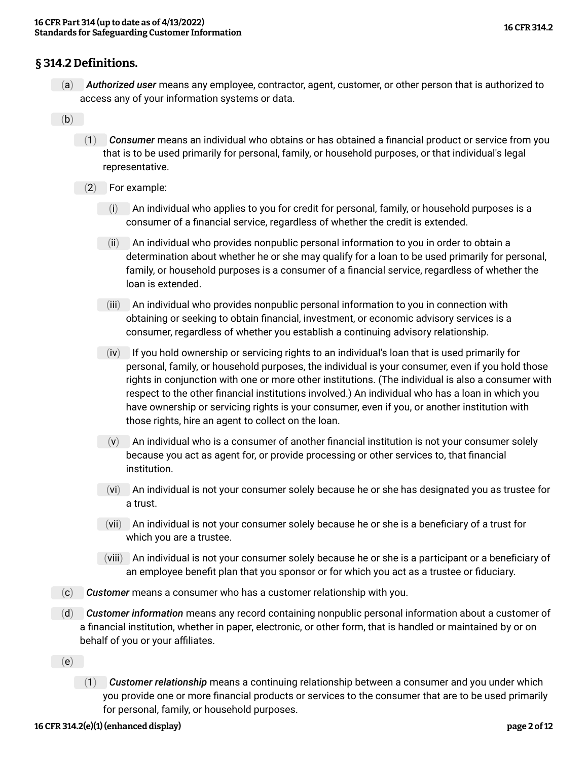# **§ 314.2 Definitions.**

- (a) *Authorized user* means any employee, contractor, agent, customer, or other person that is authorized to access any of your information systems or data.
- $(b)$ 
	- (1) *Consumer* means an individual who obtains or has obtained a financial product or service from you that is to be used primarily for personal, family, or household purposes, or that individual's legal representative.
	- (2) For example:
		- (i) An individual who applies to you for credit for personal, family, or household purposes is a consumer of a financial service, regardless of whether the credit is extended.
		- (ii) An individual who provides nonpublic personal information to you in order to obtain a determination about whether he or she may qualify for a loan to be used primarily for personal, family, or household purposes is a consumer of a financial service, regardless of whether the loan is extended.
		- (iii) An individual who provides nonpublic personal information to you in connection with obtaining or seeking to obtain financial, investment, or economic advisory services is a consumer, regardless of whether you establish a continuing advisory relationship.
		- (iv) If you hold ownership or servicing rights to an individual's loan that is used primarily for personal, family, or household purposes, the individual is your consumer, even if you hold those rights in conjunction with one or more other institutions. (The individual is also a consumer with respect to the other financial institutions involved.) An individual who has a loan in which you have ownership or servicing rights is your consumer, even if you, or another institution with those rights, hire an agent to collect on the loan.
		- $(v)$  An individual who is a consumer of another financial institution is not your consumer solely because you act as agent for, or provide processing or other services to, that financial institution.
		- (vi) An individual is not your consumer solely because he or she has designated you as trustee for a trust.
		- (vii) An individual is not your consumer solely because he or she is a beneficiary of a trust for which you are a trustee.
		- (viii) An individual is not your consumer solely because he or she is a participant or a beneficiary of an employee benefit plan that you sponsor or for which you act as a trustee or fiduciary.
- (c) *Customer* means a consumer who has a customer relationship with you.
- (d) *Customer information* means any record containing nonpublic personal information about a customer of a financial institution, whether in paper, electronic, or other form, that is handled or maintained by or on behalf of you or your affiliates.
- $(e)$ 
	- (1) *Customer relationship* means a continuing relationship between a consumer and you under which you provide one or more financial products or services to the consumer that are to be used primarily for personal, family, or household purposes.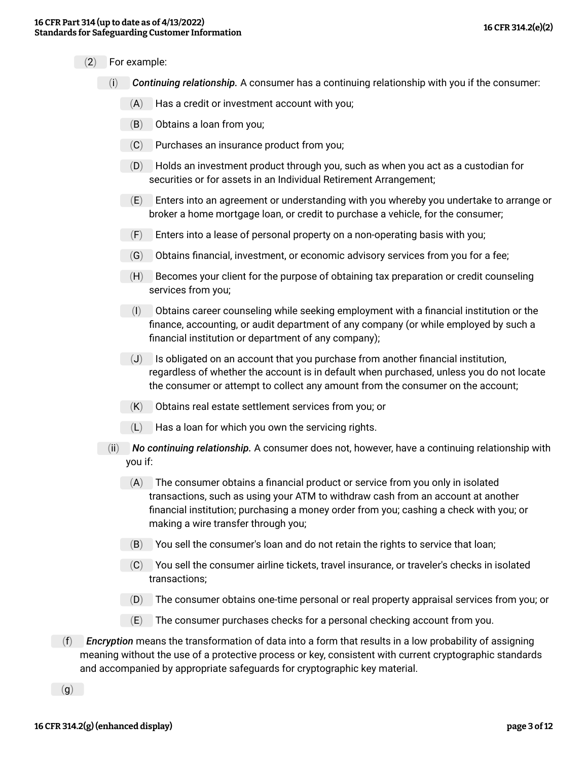- (2) For example:
	- (i) *Continuing relationship.* A consumer has a continuing relationship with you if the consumer:
		- (A) Has a credit or investment account with you;
		- (B) Obtains a loan from you;
		- (C) Purchases an insurance product from you;
		- (D) Holds an investment product through you, such as when you act as a custodian for securities or for assets in an Individual Retirement Arrangement;
		- (E) Enters into an agreement or understanding with you whereby you undertake to arrange or broker a home mortgage loan, or credit to purchase a vehicle, for the consumer;
		- (F) Enters into a lease of personal property on a non-operating basis with you;
		- (G) Obtains financial, investment, or economic advisory services from you for a fee;
		- (H) Becomes your client for the purpose of obtaining tax preparation or credit counseling services from you;
		- (I) Obtains career counseling while seeking employment with a financial institution or the finance, accounting, or audit department of any company (or while employed by such a financial institution or department of any company);
		- (J) Is obligated on an account that you purchase from another financial institution, regardless of whether the account is in default when purchased, unless you do not locate the consumer or attempt to collect any amount from the consumer on the account;
		- $(K)$  Obtains real estate settlement services from you; or
		- $(L)$  Has a loan for which you own the servicing rights.
		- (ii) *No continuing relationship.* A consumer does not, however, have a continuing relationship with you if:
			- (A) The consumer obtains a financial product or service from you only in isolated transactions, such as using your ATM to withdraw cash from an account at another financial institution; purchasing a money order from you; cashing a check with you; or making a wire transfer through you;
			- (B) You sell the consumer's loan and do not retain the rights to service that loan;
			- (C) You sell the consumer airline tickets, travel insurance, or traveler's checks in isolated transactions;
			- (D) The consumer obtains one-time personal or real property appraisal services from you; or
			- (E) The consumer purchases checks for a personal checking account from you.
- (f) *Encryption* means the transformation of data into a form that results in a low probability of assigning meaning without the use of a protective process or key, consistent with current cryptographic standards and accompanied by appropriate safeguards for cryptographic key material.

 $(g)$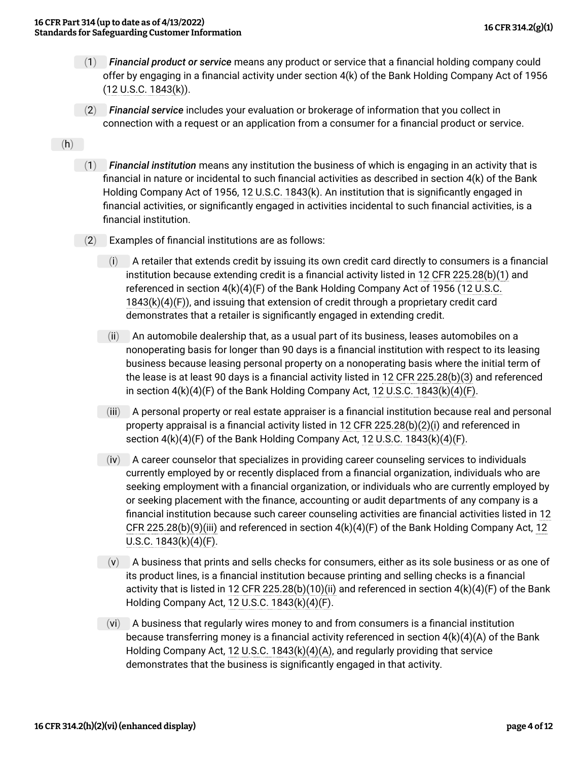- (1) *Financial product or service* means any product or service that a financial holding company could offer by engaging in a financial activity under section 4(k) of the Bank Holding Company Act of 1956 ([12 U.S.C. 1843\(k\)](https://www.govinfo.gov/link/uscode/12/1843)).
- (2) *Financial service* includes your evaluation or brokerage of information that you collect in connection with a request or an application from a consumer for a financial product or service.

#### $(h)$

- (1) *Financial institution* means any institution the business of which is engaging in an activity that is financial in nature or incidental to such financial activities as described in section 4(k) of the Bank Holding Company Act of 1956, [12 U.S.C. 1843\(k\)](https://www.govinfo.gov/link/uscode/12/1843). An institution that is significantly engaged in financial activities, or significantly engaged in activities incidental to such financial activities, is a financial institution.
- (2) Examples of financial institutions are as follows:
	- (i) A retailer that extends credit by issuing its own credit card directly to consumers is a financial institution because extending credit is a financial activity listed in [12 CFR 225.28\(b\)\(1\)](https://www.ecfr.gov/current/title-12/section-225.28/?#p-225.28(b)(1)) and referenced in section 4(k)(4)(F) of the Bank Holding Company Act of 1956 [\(12 U.S.C.](https://www.govinfo.gov/link/uscode/12/1843) [1843\(k\)\(4\)\(F\)\)](https://www.govinfo.gov/link/uscode/12/1843), and issuing that extension of credit through a proprietary credit card demonstrates that a retailer is significantly engaged in extending credit.
	- (ii) An automobile dealership that, as a usual part of its business, leases automobiles on a nonoperating basis for longer than 90 days is a financial institution with respect to its leasing business because leasing personal property on a nonoperating basis where the initial term of the lease is at least 90 days is a financial activity listed in [12 CFR 225.28\(b\)\(3\)](https://www.ecfr.gov/current/title-12/section-225.28/?#p-225.28(b)(3)) and referenced in section  $4(k)(4)(F)$  of the Bank Holding Company Act, 12 U.S.C. 1843 $(k)(4)(F)$ .
	- (iii) A personal property or real estate appraiser is a financial institution because real and personal property appraisal is a financial activity listed in [12 CFR 225.28\(b\)\(2\)\(i\)](https://www.ecfr.gov/current/title-12/section-225.28/?#p-225.28(b)(2)(i)) and referenced in section  $4(k)(4)(F)$  of the Bank Holding Company Act, 12 U.S.C. 1843 $(k)(4)(F)$ .
	- (iv) A career counselor that specializes in providing career counseling services to individuals currently employed by or recently displaced from a financial organization, individuals who are seeking employment with a financial organization, or individuals who are currently employed by or seeking placement with the finance, accounting or audit departments of any company is a financial institution because such career counseling activities are financial activities listed in [12](https://www.ecfr.gov/current/title-12/section-225.28/?#p-225.28(b)(9)(iii)) [CFR 225.28\(b\)\(9\)\(iii\)](https://www.ecfr.gov/current/title-12/section-225.28/?#p-225.28(b)(9)(iii)) and referenced in section  $4(k)(4)(F)$  of the Bank Holding Company Act, [12](https://www.govinfo.gov/link/uscode/12/1843) [U.S.C. 1843\(k\)\(4\)\(F\)](https://www.govinfo.gov/link/uscode/12/1843).
	- $(v)$  A business that prints and sells checks for consumers, either as its sole business or as one of its product lines, is a financial institution because printing and selling checks is a financial activity that is listed in [12 CFR 225.28\(b\)\(10\)\(ii\)](https://www.ecfr.gov/current/title-12/section-225.28/?#p-225.28(b)(10)(ii)) and referenced in section  $4(k)(4)(F)$  of the Bank Holding Company Act, [12 U.S.C. 1843\(k\)\(4\)\(F\).](https://www.govinfo.gov/link/uscode/12/1843)
	- $(vi)$  A business that regularly wires money to and from consumers is a financial institution because transferring money is a financial activity referenced in section  $4(k)(4)(A)$  of the Bank Holding Company Act, [12 U.S.C. 1843\(k\)\(4\)\(A\),](https://www.govinfo.gov/link/uscode/12/1843) and regularly providing that service demonstrates that the business is significantly engaged in that activity.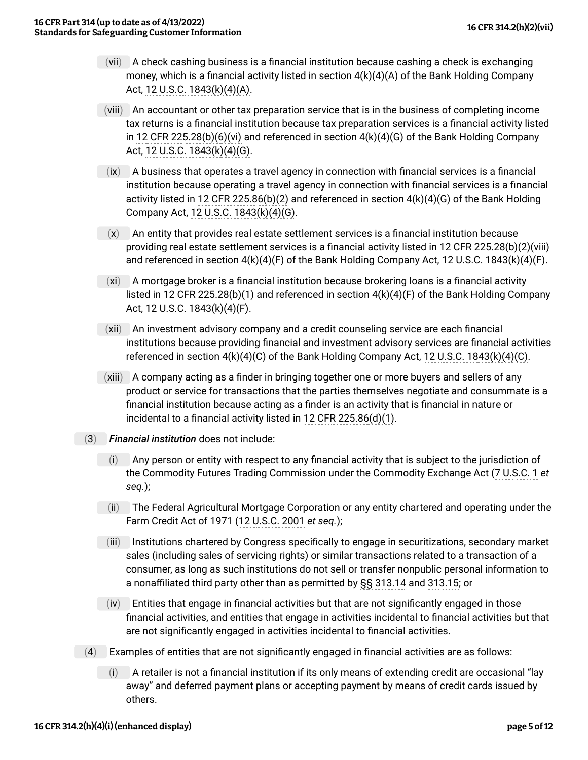- (vii) A check cashing business is a financial institution because cashing a check is exchanging money, which is a financial activity listed in section  $4(k)(4)(A)$  of the Bank Holding Company Act, [12 U.S.C. 1843\(k\)\(4\)\(A\)](https://www.govinfo.gov/link/uscode/12/1843).
- (viii) An accountant or other tax preparation service that is in the business of completing income tax returns is a financial institution because tax preparation services is a financial activity listed in [12 CFR 225.28\(b\)\(6\)\(vi\)](https://www.ecfr.gov/current/title-12/section-225.28/?#p-225.28(b)(6)(vi)) and referenced in section  $4(k)(4)(G)$  of the Bank Holding Company Act, [12 U.S.C. 1843\(k\)\(4\)\(G\).](https://www.govinfo.gov/link/uscode/12/1843)
- (ix) A business that operates a travel agency in connection with financial services is a financial institution because operating a travel agency in connection with financial services is a financial activity listed in [12 CFR 225.86\(b\)\(2\)](https://www.ecfr.gov/current/title-12/section-225.86/?#p-225.86(b)(2)) and referenced in section  $4(k)(4)(G)$  of the Bank Holding Company Act, [12 U.S.C. 1843\(k\)\(4\)\(G\)](https://www.govinfo.gov/link/uscode/12/1843).
- $(x)$  An entity that provides real estate settlement services is a financial institution because providing real estate settlement services is a financial activity listed in [12 CFR 225.28\(b\)\(2\)\(viii\)](https://www.ecfr.gov/current/title-12/section-225.28/?#p-225.28(b)(2)(viii)) and referenced in section 4(k)(4)(F) of the Bank Holding Company Act, [12 U.S.C. 1843\(k\)\(4\)\(F\)](https://www.govinfo.gov/link/uscode/12/1843).
- (xi) A mortgage broker is a financial institution because brokering loans is a financial activity listed in [12 CFR 225.28\(b\)\(1\)](https://www.ecfr.gov/current/title-12/section-225.28/?#p-225.28(b)(1)) and referenced in section  $4(k)(4)(F)$  of the Bank Holding Company Act, [12 U.S.C. 1843\(k\)\(4\)\(F\)](https://www.govinfo.gov/link/uscode/12/1843).
- (xii) An investment advisory company and a credit counseling service are each financial institutions because providing financial and investment advisory services are financial activities referenced in section  $4(k)(4)(C)$  of the Bank Holding Company Act, 12 U.S.C. 1843 $(k)(4)(C)$ .
- (xiii) A company acting as a finder in bringing together one or more buyers and sellers of any product or service for transactions that the parties themselves negotiate and consummate is a financial institution because acting as a finder is an activity that is financial in nature or incidental to a financial activity listed in [12 CFR 225.86\(d\)\(1\).](https://www.ecfr.gov/current/title-12/section-225.86/?#p-225.86(d)(1))
- (3) *Financial institution* does not include:
	- (i) Any person or entity with respect to any financial activity that is subject to the jurisdiction of the Commodity Futures Trading Commission under the Commodity Exchange Act [\(7 U.S.C. 1](https://www.govinfo.gov/link/uscode/7/1) *et seq.*);
	- (ii) The Federal Agricultural Mortgage Corporation or any entity chartered and operating under the Farm Credit Act of 1971 ([12 U.S.C. 2001](https://www.govinfo.gov/link/uscode/12/2001) *et seq.*);
	- (iii) Institutions chartered by Congress specifically to engage in securitizations, secondary market sales (including sales of servicing rights) or similar transactions related to a transaction of a consumer, as long as such institutions do not sell or transfer nonpublic personal information to a nonaffiliated third party other than as permitted by [§§ 313.14](https://www.ecfr.gov/current/title-16/section-313.14/) and [313.15;](https://www.ecfr.gov/current/title-16/section-313.15/) or
	- (iv) Entities that engage in financial activities but that are not significantly engaged in those financial activities, and entities that engage in activities incidental to financial activities but that are not significantly engaged in activities incidental to financial activities.
- (4) Examples of entities that are not significantly engaged in financial activities are as follows:
	- (i) A retailer is not a financial institution if its only means of extending credit are occasional "lay away" and deferred payment plans or accepting payment by means of credit cards issued by others.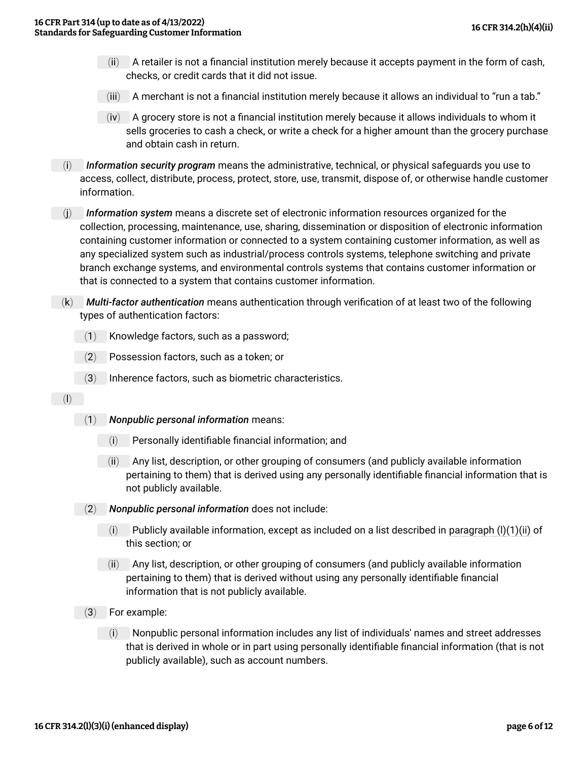- (ii) A retailer is not a financial institution merely because it accepts payment in the form of cash, checks, or credit cards that it did not issue.
- (iii) A merchant is not a financial institution merely because it allows an individual to "run a tab."
- (iv) A grocery store is not a financial institution merely because it allows individuals to whom it sells groceries to cash a check, or write a check for a higher amount than the grocery purchase and obtain cash in return.
- (i) *Information security program* means the administrative, technical, or physical safeguards you use to access, collect, distribute, process, protect, store, use, transmit, dispose of, or otherwise handle customer information.
- (j) *Information system* means a discrete set of electronic information resources organized for the collection, processing, maintenance, use, sharing, dissemination or disposition of electronic information containing customer information or connected to a system containing customer information, as well as any specialized system such as industrial/process controls systems, telephone switching and private branch exchange systems, and environmental controls systems that contains customer information or that is connected to a system that contains customer information.
- (k) *Multi-factor authentication* means authentication through verification of at least two of the following types of authentication factors:
	- (1) Knowledge factors, such as a password;
		- (2) Possession factors, such as a token; or
	- (3) Inherence factors, such as biometric characteristics.

#### <span id="page-5-0"></span> $(|)$

- (1) *Nonpublic personal information* means:
	- (i) Personally identifiable financial information; and
	- (ii) Any list, description, or other grouping of consumers (and publicly available information pertaining to them) that is derived using any personally identifiable financial information that is not publicly available.
- (2) *Nonpublic personal information* does not include:
	- (i) Publicly available information, except as included on a list described in paragraph  $(l)(1)(ii)$  of this section; or
	- (ii) Any list, description, or other grouping of consumers (and publicly available information pertaining to them) that is derived without using any personally identifiable financial information that is not publicly available.
- (3) For example:
	- (i) Nonpublic personal information includes any list of individuals' names and street addresses that is derived in whole or in part using personally identifiable financial information (that is not publicly available), such as account numbers.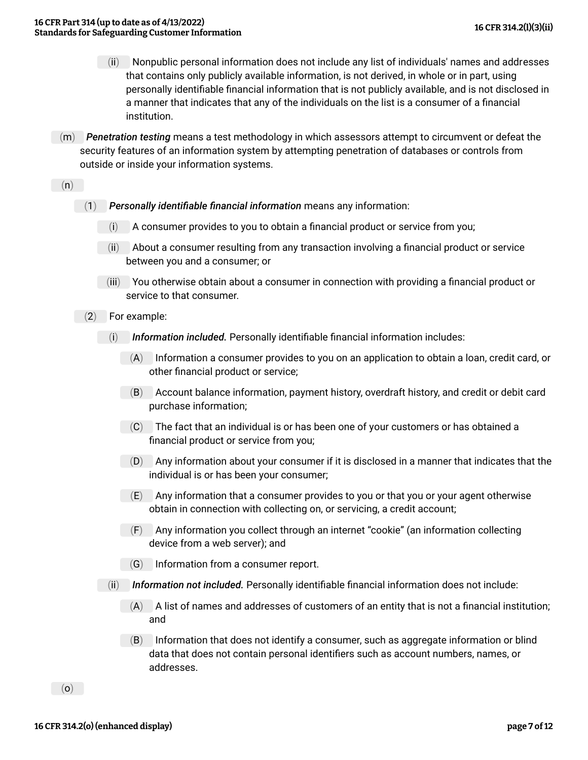- (ii) Nonpublic personal information does not include any list of individuals' names and addresses that contains only publicly available information, is not derived, in whole or in part, using personally identifiable financial information that is not publicly available, and is not disclosed in a manner that indicates that any of the individuals on the list is a consumer of a financial institution.
- (m) *Penetration testing* means a test methodology in which assessors attempt to circumvent or defeat the security features of an information system by attempting penetration of databases or controls from outside or inside your information systems.

 $(n)$ 

- (1) *Personally identifiable financial information* means any information:
	- (i) A consumer provides to you to obtain a financial product or service from you;
	- (ii) About a consumer resulting from any transaction involving a financial product or service between you and a consumer; or
	- (iii) You otherwise obtain about a consumer in connection with providing a financial product or service to that consumer.
- (2) For example:
	- (i) *Information included.* Personally identifiable financial information includes:
		- (A) Information a consumer provides to you on an application to obtain a loan, credit card, or other financial product or service;
		- (B) Account balance information, payment history, overdraft history, and credit or debit card purchase information;
		- (C) The fact that an individual is or has been one of your customers or has obtained a financial product or service from you;
		- (D) Any information about your consumer if it is disclosed in a manner that indicates that the individual is or has been your consumer;
		- (E) Any information that a consumer provides to you or that you or your agent otherwise obtain in connection with collecting on, or servicing, a credit account;
		- (F) Any information you collect through an internet "cookie" (an information collecting device from a web server); and
		- (G) Information from a consumer report.
	- (ii) *Information not included.* Personally identifiable financial information does not include:
		- $(A)$  A list of names and addresses of customers of an entity that is not a financial institution; and
		- (B) Information that does not identify a consumer, such as aggregate information or blind data that does not contain personal identifiers such as account numbers, names, or addresses.

 $(0)$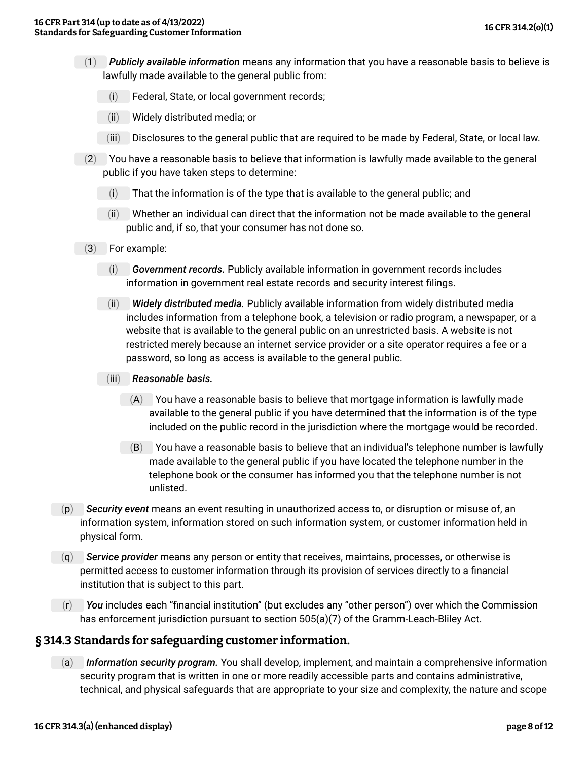- (1) *Publicly available information* means any information that you have a reasonable basis to believe is lawfully made available to the general public from:
	- (i) Federal, State, or local government records;
	- (ii) Widely distributed media; or
	- (iii) Disclosures to the general public that are required to be made by Federal, State, or local law.
- (2) You have a reasonable basis to believe that information is lawfully made available to the general public if you have taken steps to determine:
	- (i) That the information is of the type that is available to the general public; and
	- (ii) Whether an individual can direct that the information not be made available to the general public and, if so, that your consumer has not done so.
- (3) For example:
	- (i) *Government records.* Publicly available information in government records includes information in government real estate records and security interest filings.
	- (ii) *Widely distributed media.* Publicly available information from widely distributed media includes information from a telephone book, a television or radio program, a newspaper, or a website that is available to the general public on an unrestricted basis. A website is not restricted merely because an internet service provider or a site operator requires a fee or a password, so long as access is available to the general public.
	- (iii) *Reasonable basis.*
		- (A) You have a reasonable basis to believe that mortgage information is lawfully made available to the general public if you have determined that the information is of the type included on the public record in the jurisdiction where the mortgage would be recorded.
		- (B) You have a reasonable basis to believe that an individual's telephone number is lawfully made available to the general public if you have located the telephone number in the telephone book or the consumer has informed you that the telephone number is not unlisted.
- (p) *Security event* means an event resulting in unauthorized access to, or disruption or misuse of, an information system, information stored on such information system, or customer information held in physical form.
- (q) *Service provider* means any person or entity that receives, maintains, processes, or otherwise is permitted access to customer information through its provision of services directly to a financial institution that is subject to this part.
- (r) *You* includes each "financial institution" (but excludes any "other person") over which the Commission has enforcement jurisdiction pursuant to section 505(a)(7) of the Gramm-Leach-Bliley Act.

## <span id="page-7-0"></span>**§ 314.3 Standards for safeguarding customer information.**

(a) *Information security program.* You shall develop, implement, and maintain a comprehensive information security program that is written in one or more readily accessible parts and contains administrative, technical, and physical safeguards that are appropriate to your size and complexity, the nature and scope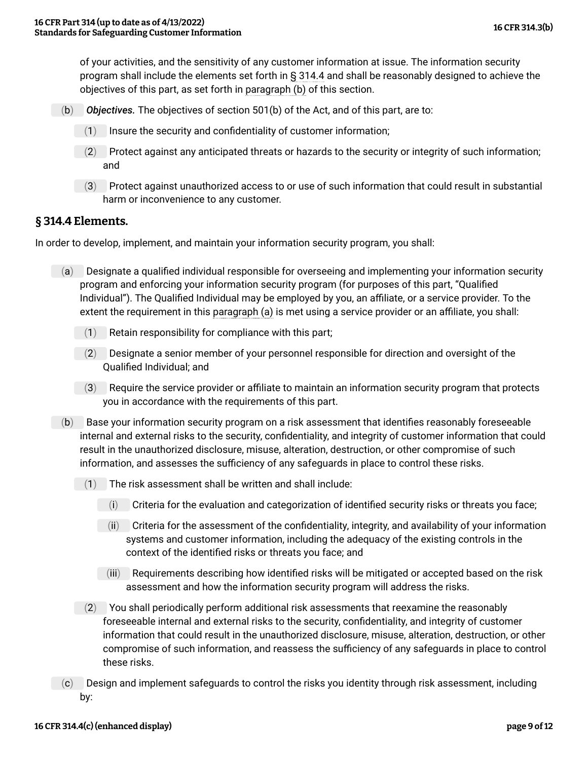of your activities, and the sensitivity of any customer information at issue. The information security program shall include the elements set forth in [§ 314.4](#page-8-0) and shall be reasonably designed to achieve the objectives of this part, as set forth in [paragraph \(b\)](#page-8-1) of this section.

- <span id="page-8-1"></span>(b) *Objectives.* The objectives of section 501(b) of the Act, and of this part, are to:
	- (1) Insure the security and confidentiality of customer information;
	- (2) Protect against any anticipated threats or hazards to the security or integrity of such information; and
	- (3) Protect against unauthorized access to or use of such information that could result in substantial harm or inconvenience to any customer.

## <span id="page-8-0"></span>**§ 314.4 Elements.**

<span id="page-8-2"></span>In order to develop, implement, and maintain your information security program, you shall:

- (a) Designate a qualified individual responsible for overseeing and implementing your information security program and enforcing your information security program (for purposes of this part, "Qualified Individual"). The Qualified Individual may be employed by you, an affiliate, or a service provider. To the extent the requirement in this [paragraph \(a\)](#page-8-2) is met using a service provider or an affiliate, you shall:
	- $(1)$  Retain responsibility for compliance with this part;
	- (2) Designate a senior member of your personnel responsible for direction and oversight of the Qualified Individual; and
	- (3) Require the service provider or affiliate to maintain an information security program that protects you in accordance with the requirements of this part.
- (b) Base your information security program on a risk assessment that identifies reasonably foreseeable internal and external risks to the security, confidentiality, and integrity of customer information that could result in the unauthorized disclosure, misuse, alteration, destruction, or other compromise of such information, and assesses the sufficiency of any safeguards in place to control these risks.
	- $(1)$  The risk assessment shall be written and shall include:
		- (i) Criteria for the evaluation and categorization of identified security risks or threats you face;
		- (ii) Criteria for the assessment of the confidentiality, integrity, and availability of your information systems and customer information, including the adequacy of the existing controls in the context of the identified risks or threats you face; and
		- (iii) Requirements describing how identified risks will be mitigated or accepted based on the risk assessment and how the information security program will address the risks.
	- (2) You shall periodically perform additional risk assessments that reexamine the reasonably foreseeable internal and external risks to the security, confidentiality, and integrity of customer information that could result in the unauthorized disclosure, misuse, alteration, destruction, or other compromise of such information, and reassess the sufficiency of any safeguards in place to control these risks.
- <span id="page-8-3"></span>(c) Design and implement safeguards to control the risks you identity through risk assessment, including by: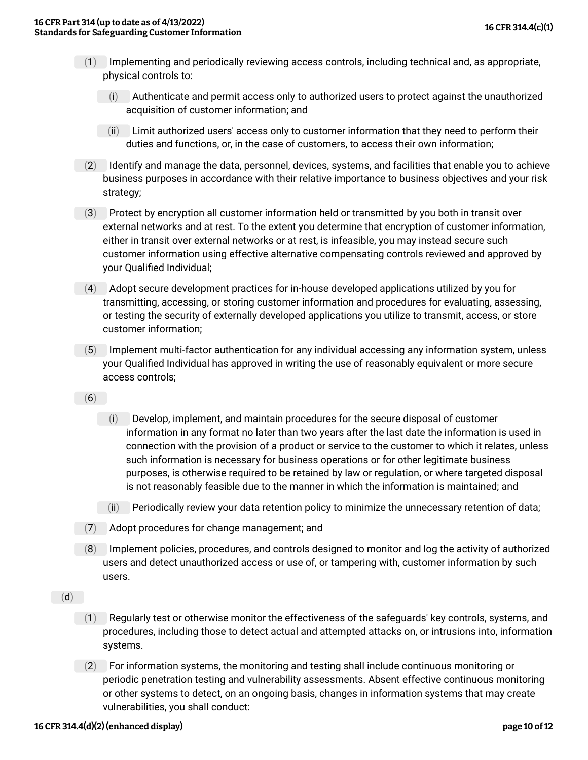- (1) Implementing and periodically reviewing access controls, including technical and, as appropriate, physical controls to:
	- (i) Authenticate and permit access only to authorized users to protect against the unauthorized acquisition of customer information; and
	- (ii) Limit authorized users' access only to customer information that they need to perform their duties and functions, or, in the case of customers, to access their own information;
- (2) Identify and manage the data, personnel, devices, systems, and facilities that enable you to achieve business purposes in accordance with their relative importance to business objectives and your risk strategy;
- (3) Protect by encryption all customer information held or transmitted by you both in transit over external networks and at rest. To the extent you determine that encryption of customer information, either in transit over external networks or at rest, is infeasible, you may instead secure such customer information using effective alternative compensating controls reviewed and approved by your Qualified Individual;
- (4) Adopt secure development practices for in-house developed applications utilized by you for transmitting, accessing, or storing customer information and procedures for evaluating, assessing, or testing the security of externally developed applications you utilize to transmit, access, or store customer information;
- (5) Implement multi-factor authentication for any individual accessing any information system, unless your Qualified Individual has approved in writing the use of reasonably equivalent or more secure access controls;

 $(6)$ 

- (i) Develop, implement, and maintain procedures for the secure disposal of customer information in any format no later than two years after the last date the information is used in connection with the provision of a product or service to the customer to which it relates, unless such information is necessary for business operations or for other legitimate business purposes, is otherwise required to be retained by law or regulation, or where targeted disposal is not reasonably feasible due to the manner in which the information is maintained; and
- (ii) Periodically review your data retention policy to minimize the unnecessary retention of data;
- (7) Adopt procedures for change management; and
- (8) Implement policies, procedures, and controls designed to monitor and log the activity of authorized users and detect unauthorized access or use of, or tampering with, customer information by such users.

<span id="page-9-0"></span>(d)

- $(1)$  Regularly test or otherwise monitor the effectiveness of the safeguards' key controls, systems, and procedures, including those to detect actual and attempted attacks on, or intrusions into, information systems.
- (2) For information systems, the monitoring and testing shall include continuous monitoring or periodic penetration testing and vulnerability assessments. Absent effective continuous monitoring or other systems to detect, on an ongoing basis, changes in information systems that may create vulnerabilities, you shall conduct: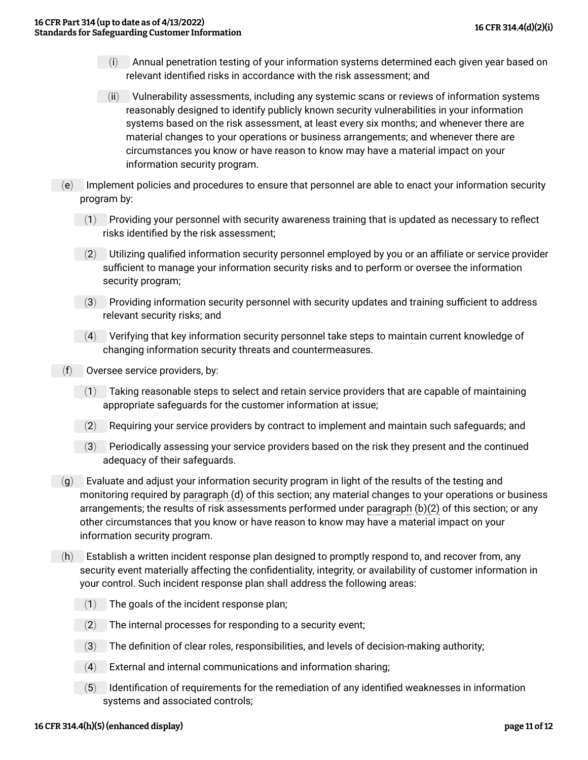- (i) Annual penetration testing of your information systems determined each given year based on relevant identified risks in accordance with the risk assessment; and
- (ii) Vulnerability assessments, including any systemic scans or reviews of information systems reasonably designed to identify publicly known security vulnerabilities in your information systems based on the risk assessment, at least every six months; and whenever there are material changes to your operations or business arrangements; and whenever there are circumstances you know or have reason to know may have a material impact on your information security program.
- (e) Implement policies and procedures to ensure that personnel are able to enact your information security program by:
	- $(1)$  Providing your personnel with security awareness training that is updated as necessary to reflect risks identified by the risk assessment;
	- (2) Utilizing qualified information security personnel employed by you or an affiliate or service provider sufficient to manage your information security risks and to perform or oversee the information security program;
	- (3) Providing information security personnel with security updates and training sufficient to address relevant security risks; and
	- (4) Verifying that key information security personnel take steps to maintain current knowledge of changing information security threats and countermeasures.
- (f) Oversee service providers, by:
	- $(1)$  Taking reasonable steps to select and retain service providers that are capable of maintaining appropriate safeguards for the customer information at issue;
	- (2) Requiring your service providers by contract to implement and maintain such safeguards; and
	- (3) Periodically assessing your service providers based on the risk they present and the continued adequacy of their safeguards.
- (g) Evaluate and adjust your information security program in light of the results of the testing and monitoring required by [paragraph \(d\)](#page-9-0) of this section; any material changes to your operations or business arrangements; the results of risk assessments performed under [paragraph \(b\)\(2\)](#page-8-3) of this section; or any other circumstances that you know or have reason to know may have a material impact on your information security program.
- (h) Establish a written incident response plan designed to promptly respond to, and recover from, any security event materially affecting the confidentiality, integrity, or availability of customer information in your control. Such incident response plan shall address the following areas:
	- $(1)$  The goals of the incident response plan;
	- (2) The internal processes for responding to a security event;
		- (3) The definition of clear roles, responsibilities, and levels of decision-making authority;
		- (4) External and internal communications and information sharing;
	- $(5)$  Identification of requirements for the remediation of any identified weaknesses in information systems and associated controls;